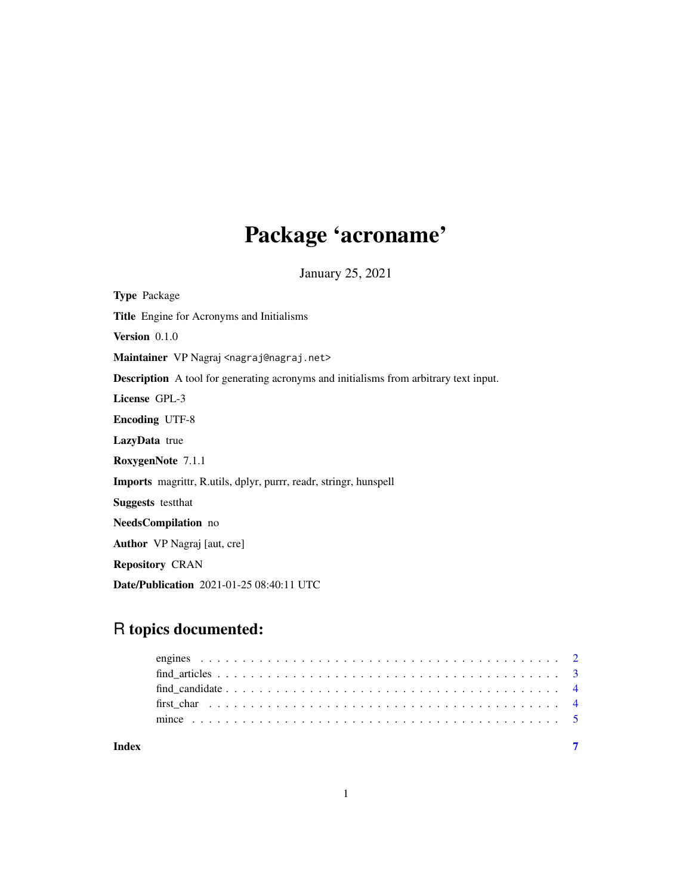## Package 'acroname'

January 25, 2021

<span id="page-0-0"></span>Type Package Title Engine for Acronyms and Initialisms Version 0.1.0 Maintainer VP Nagraj <nagraj@nagraj.net> Description A tool for generating acronyms and initialisms from arbitrary text input. License GPL-3 Encoding UTF-8 LazyData true RoxygenNote 7.1.1 Imports magrittr, R.utils, dplyr, purrr, readr, stringr, hunspell Suggests testthat NeedsCompilation no Author VP Nagraj [aut, cre] Repository CRAN Date/Publication 2021-01-25 08:40:11 UTC

### R topics documented:

| Index |  |  |
|-------|--|--|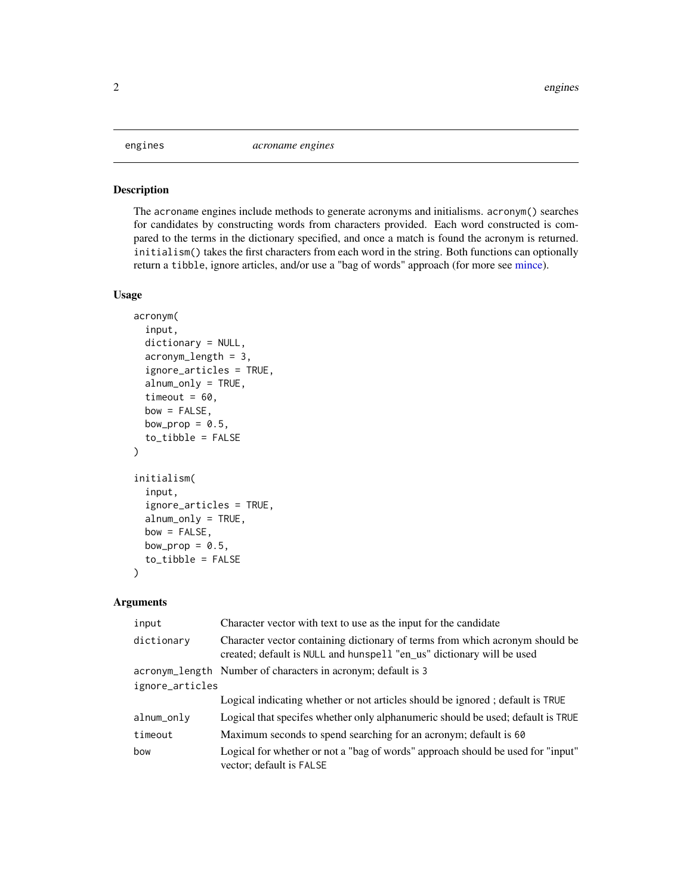#### <span id="page-1-1"></span><span id="page-1-0"></span>Description

The acroname engines include methods to generate acronyms and initialisms. acronym() searches for candidates by constructing words from characters provided. Each word constructed is compared to the terms in the dictionary specified, and once a match is found the acronym is returned. initialism() takes the first characters from each word in the string. Both functions can optionally return a tibble, ignore articles, and/or use a "bag of words" approach (for more see [mince\)](#page-4-1).

#### Usage

```
acronym(
  input,
  dictionary = NULL,
  acronym_length = 3,
  ignore_articles = TRUE,
  alnum_only = TRUE,
  timeout = 60,
  bow = FALSE,
 bow_prop = 0.5,
  to_tibble = FALSE
)
initialism(
  input,
  ignore_articles = TRUE,
  alnum_only = TRUE,
 bow = FALSE,bow_prop = 0.5,
  to_tibble = FALSE
)
```
#### Arguments

| input           | Character vector with text to use as the input for the candidate                                                                                      |
|-----------------|-------------------------------------------------------------------------------------------------------------------------------------------------------|
| dictionary      | Character vector containing dictionary of terms from which acronym should be<br>created; default is NULL and hunspell "en_us" dictionary will be used |
|                 | acronym_length Number of characters in acronym; default is 3                                                                                          |
| ignore_articles |                                                                                                                                                       |
|                 | Logical indicating whether or not articles should be ignored; default is TRUE                                                                         |
| alnum_only      | Logical that specifes whether only alphanumeric should be used; default is TRUE                                                                       |
| timeout         | Maximum seconds to spend searching for an acronym; default is 60                                                                                      |
| bow             | Logical for whether or not a "bag of words" approach should be used for "input"<br>vector; default is FALSE                                           |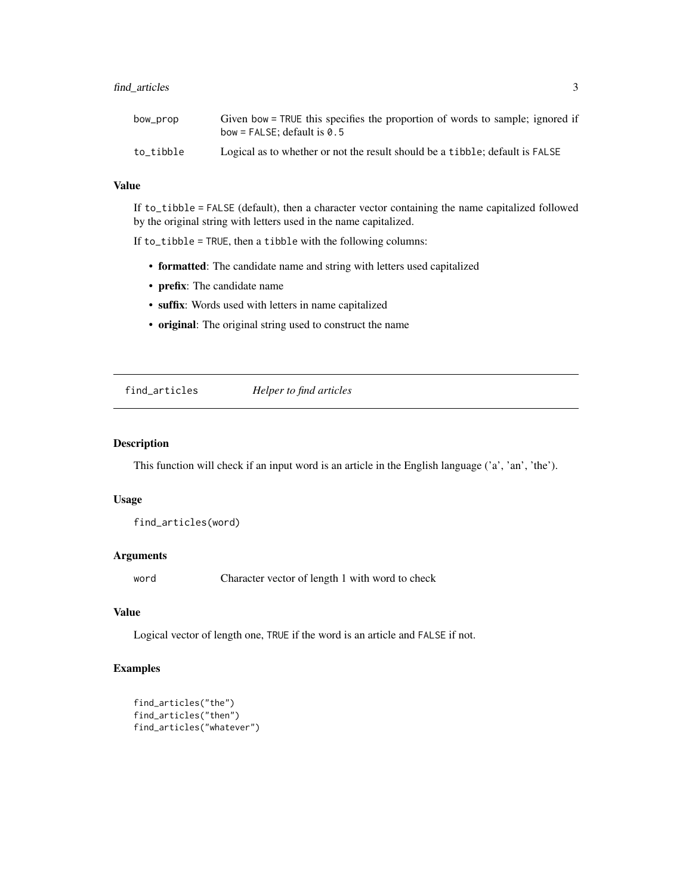#### <span id="page-2-0"></span>find\_articles 3

| bow_prop  | Given bow = TRUE this specifies the proportion of words to sample; ignored if<br>bow = FALSE: default is $0.5$ |
|-----------|----------------------------------------------------------------------------------------------------------------|
| to tibble | Logical as to whether or not the result should be a tibble; default is FALSE                                   |

#### Value

If to\_tibble = FALSE (default), then a character vector containing the name capitalized followed by the original string with letters used in the name capitalized.

If to\_tibble = TRUE, then a tibble with the following columns:

- formatted: The candidate name and string with letters used capitalized
- prefix: The candidate name
- suffix: Words used with letters in name capitalized
- original: The original string used to construct the name

find\_articles *Helper to find articles*

#### Description

This function will check if an input word is an article in the English language ('a', 'an', 'the').

#### Usage

find\_articles(word)

#### Arguments

word Character vector of length 1 with word to check

#### Value

Logical vector of length one, TRUE if the word is an article and FALSE if not.

#### Examples

```
find_articles("the")
find_articles("then")
find_articles("whatever")
```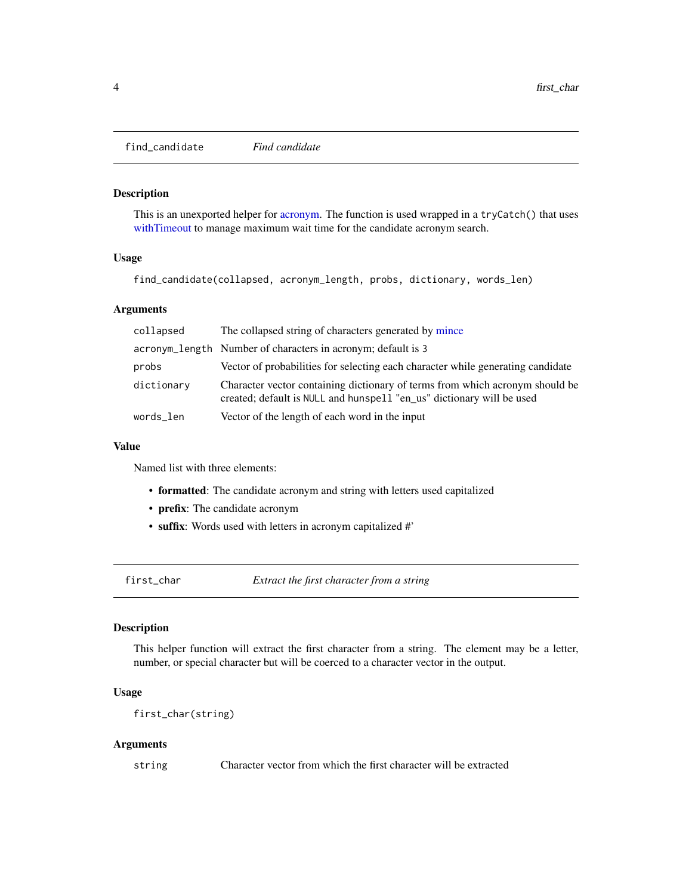<span id="page-3-0"></span>find\_candidate *Find candidate*

#### Description

This is an unexported helper for [acronym.](#page-1-1) The function is used wrapped in a tryCatch() that uses [withTimeout](#page-0-0) to manage maximum wait time for the candidate acronym search.

#### Usage

find\_candidate(collapsed, acronym\_length, probs, dictionary, words\_len)

#### **Arguments**

| collapsed  | The collapsed string of characters generated by mince                                                                                                 |
|------------|-------------------------------------------------------------------------------------------------------------------------------------------------------|
|            | acronym_length Number of characters in acronym; default is 3                                                                                          |
| probs      | Vector of probabilities for selecting each character while generating candidate                                                                       |
| dictionary | Character vector containing dictionary of terms from which acronym should be<br>created; default is NULL and hunspell "en_us" dictionary will be used |
| words_len  | Vector of the length of each word in the input                                                                                                        |

#### Value

Named list with three elements:

- formatted: The candidate acronym and string with letters used capitalized
- prefix: The candidate acronym
- suffix: Words used with letters in acronym capitalized #'

first\_char *Extract the first character from a string*

#### Description

This helper function will extract the first character from a string. The element may be a letter, number, or special character but will be coerced to a character vector in the output.

#### Usage

first\_char(string)

#### Arguments

string Character vector from which the first character will be extracted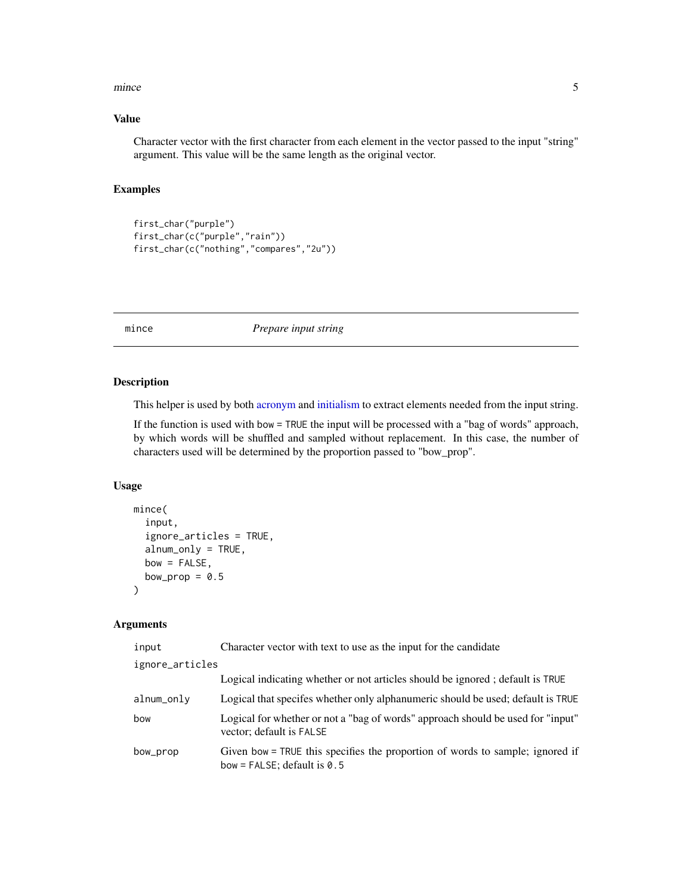#### <span id="page-4-0"></span>mince 5

#### Value

Character vector with the first character from each element in the vector passed to the input "string" argument. This value will be the same length as the original vector.

#### Examples

```
first_char("purple")
first_char(c("purple","rain"))
first_char(c("nothing","compares","2u"))
```
<span id="page-4-1"></span>mince *Prepare input string*

#### Description

This helper is used by both [acronym](#page-1-1) and [initialism](#page-1-1) to extract elements needed from the input string.

If the function is used with bow = TRUE the input will be processed with a "bag of words" approach, by which words will be shuffled and sampled without replacement. In this case, the number of characters used will be determined by the proportion passed to "bow\_prop".

#### Usage

```
mince(
  input,
  ignore_articles = TRUE,
  alnum_only = TRUE,
  bow = FALSE,bow_prop = 0.5\mathcal{L}
```
#### Arguments

| input           | Character vector with text to use as the input for the candidate                                               |
|-----------------|----------------------------------------------------------------------------------------------------------------|
| ignore_articles |                                                                                                                |
|                 | Logical indicating whether or not articles should be ignored; default is TRUE                                  |
| alnum_only      | Logical that specifes whether only alphanumeric should be used; default is TRUE                                |
| bow             | Logical for whether or not a "bag of words" approach should be used for "input"<br>vector; default is FALSE    |
| bow_prop        | Given bow = TRUE this specifies the proportion of words to sample; ignored if<br>bow = FALSE; default is $0.5$ |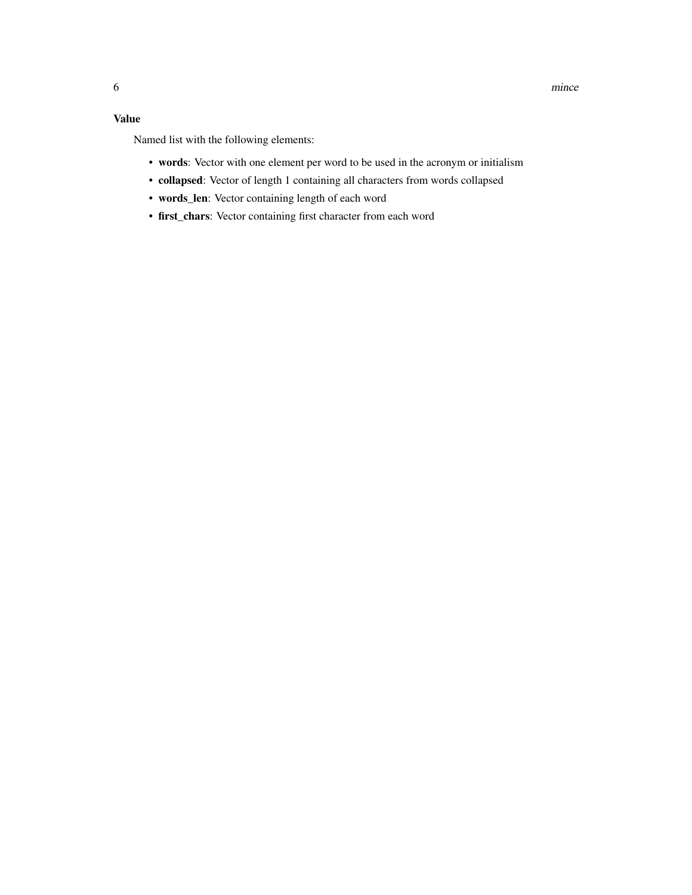### Value

Named list with the following elements:

- words: Vector with one element per word to be used in the acronym or initialism
- collapsed: Vector of length 1 containing all characters from words collapsed
- words\_len: Vector containing length of each word
- first\_chars: Vector containing first character from each word